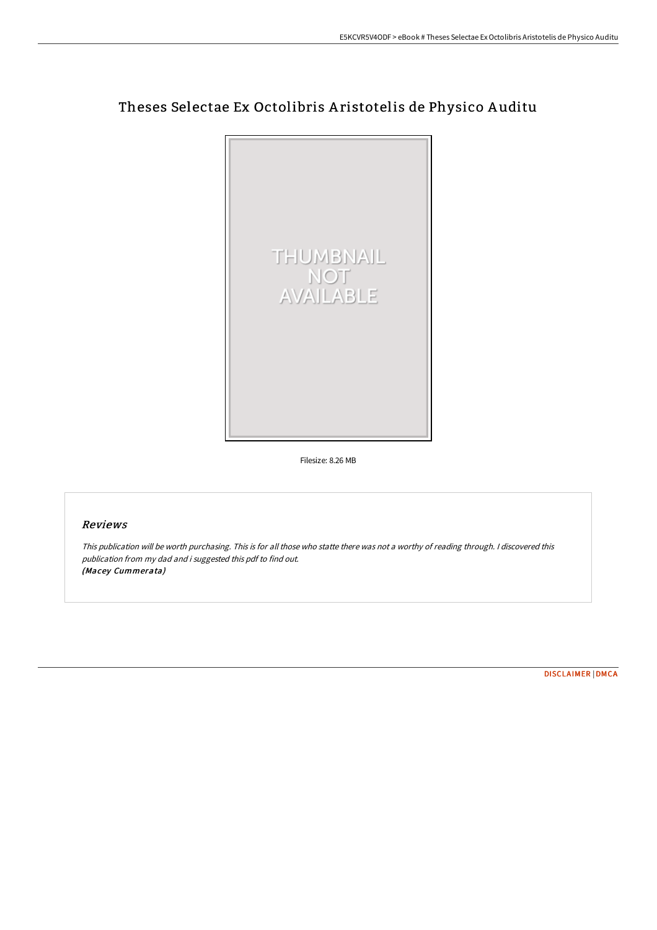## Theses Selectae Ex Octolibris A ristotelis de Physico A uditu



Filesize: 8.26 MB

## Reviews

This publication will be worth purchasing. This is for all those who statte there was not <sup>a</sup> worthy of reading through. <sup>I</sup> discovered this publication from my dad and i suggested this pdf to find out. (Macey Cummerata)

[DISCLAIMER](http://www.bookdirs.com/disclaimer.html) | [DMCA](http://www.bookdirs.com/dmca.html)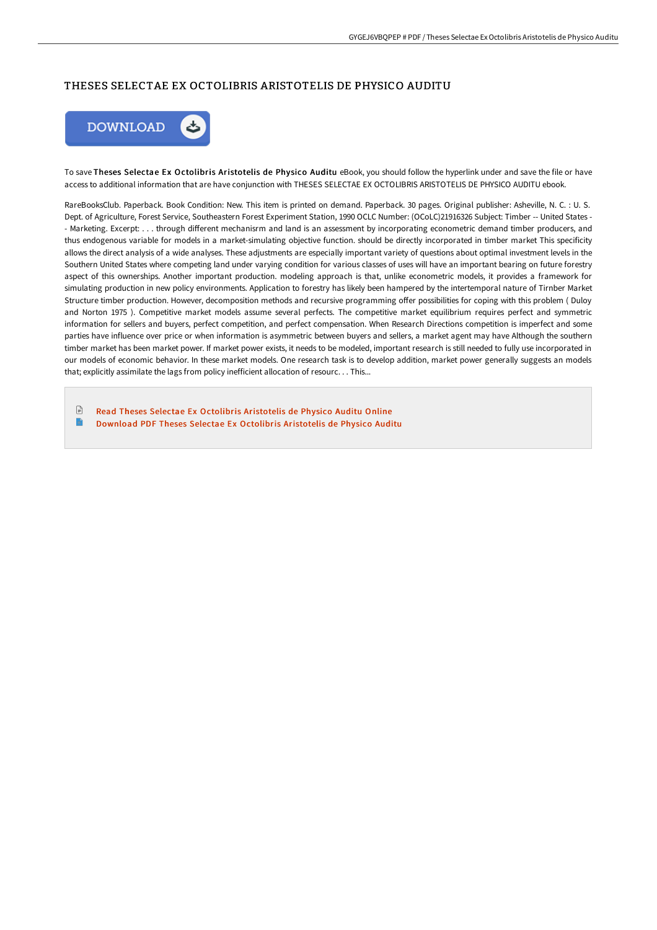## THESES SELECTAE EX OCTOLIBRIS ARISTOTELIS DE PHYSICO AUDITU



To save Theses Selectae Ex Octolibris Aristotelis de Physico Auditu eBook, you should follow the hyperlink under and save the file or have access to additional information that are have conjunction with THESES SELECTAE EX OCTOLIBRIS ARISTOTELIS DE PHYSICO AUDITU ebook.

RareBooksClub. Paperback. Book Condition: New. This item is printed on demand. Paperback. 30 pages. Original publisher: Asheville, N. C. : U. S. Dept. of Agriculture, Forest Service, Southeastern Forest Experiment Station, 1990 OCLC Number: (OCoLC)21916326 Subject: Timber -- United States - - Marketing. Excerpt: . . . through diFerent mechanisrm and land is an assessment by incorporating econometric demand timber producers, and thus endogenous variable for models in a market-simulating objective function. should be directly incorporated in timber market This specificity allows the direct analysis of a wide analyses. These adjustments are especially important variety of questions about optimal investment levels in the Southern United States where competing land under varying condition for various classes of uses will have an important bearing on future forestry aspect of this ownerships. Another important production. modeling approach is that, unlike econometric models, it provides a framework for simulating production in new policy environments. Application to forestry has likely been hampered by the intertemporal nature of Tirnber Market Structure timber production. However, decomposition methods and recursive programming offer possibilities for coping with this problem ( Duloy and Norton 1975 ). Competitive market models assume several perfects. The competitive market equilibrium requires perfect and symmetric information for sellers and buyers, perfect competition, and perfect compensation. When Research Directions competition is imperfect and some parties have influence over price or when information is asymmetric between buyers and sellers, a market agent may have Although the southern timber market has been market power. If market power exists, it needs to be modeled, important research is still needed to fully use incorporated in our models of economic behavior. In these market models. One research task is to develop addition, market power generally suggests an models that; explicitly assimilate the lags from policy inefficient allocation of resourc. . . This...

 $\Box$ Read Theses Selectae Ex Octolibris [Aristotelis](http://www.bookdirs.com/theses-selectae-ex-octolibris-aristotelis-de-phy.html) de Physico Auditu Online E Download PDF Theses Selectae Ex Octolibris [Aristotelis](http://www.bookdirs.com/theses-selectae-ex-octolibris-aristotelis-de-phy.html) de Physico Auditu